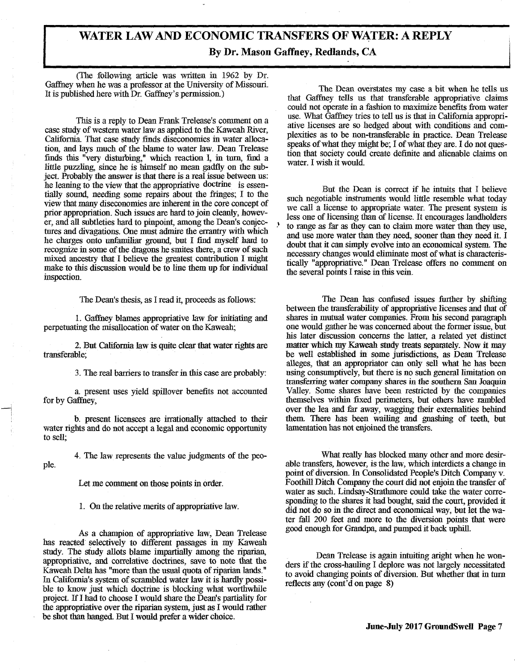# **<sup>I</sup>WATER LAW AND ECONOMIC TRANSFERS OF WATER: A REPLY By Dr. Mason Gaffney, Redlands, CA**

(The following article was written in 1962 by Dr. Gaffney when he was a professor at the University of Missouri. It is published here with Dr. Gaffirey's permission.)

**I**

ple.

This is a reply to Dean Frank Trelease's comment on a case study of western water law as applied to the Kaweah River, California. That case study finds diseconomies in water allocation, and lays much of the blame to water law. Dean Trelease finds this "very disturbing," which reaction I, in turn, find a little puzzling, since he is himself no mean gadfly on the subject. Probably the answer is that there is a real issue between us: he leaning to the view that the appropriative doctrine is essentially sound, needing some repairs about the fringes; I to the view that many diseconomies are inherent in the core concept of prior appropriation. Such issues are hard to join cleanly, however, and all subtleties hard to pinpoint, among the Dean's conjectures and divagations. One must admire the errantry with which he charges onto unfamiliar ground, but I find myself hard to recognize in some of the dragons he smites there, a crew of such mixed ancestry that I believe the greatest contribution I might make to this discussion would be to line them up for individual inspection.

The Dean's thesis, as I read it, proceeds as follows:

1. Gaffney blames appropriative law for initiating and perpetuating the misallocation of water on the Kaweah

2. But California law is quite clear that water rights are transferable;

*3.* The real barriers to transfer in this case are probably:

a. present uses yield spillover benefits not accounted for by Gaffney,

b. present licensees are irrationally attached to their water rights and do not accept a legal and economic opportunity to sell;

4. The law represents the value judgments of the peo-

Let me comment on those points in order.

1. On the relative merits of appropriative law,

As a champion of appropriative law, Dean Trelease has reacted selectively to different passages in my Kaweah study. The study allots blame impartially among the riparian, appropriative, and correlative doctrines, save to note that the Kaweah Delta has "more than the usual quota of riparian lands." In California's system of scrambled water law it is hardly possible to know just which doctrine is blocking what worthwhile project. If I had to choose I would share the Dean's partiality for the approprialive over the riparian system, just as I would rather be shot than hanged. But I would prefer a wider choice.

The Dean overstates my case a bit when he tells us that Gaffney tells us that transferable appropriative claims could not operate in a fashion to maximize benefits from water use. What Gaffney tries to tell us is that in California appropriative licenses are so hedged about with conditions and complexities as to be non-transferable in practice. Dean Trelease speaks of what they might be; I of what they are. I do not question that society could create definite and alienable claims on water. I wish it would.

But the Dean is correct if he intuits that I believe such negotiable instruments would little resemble what today we call a license to appropriate water. The present system is less one of licensing than of license. It encourages landholders to range as far as they can to claim more water than they use, and use more water than they need, sooner than they need it. I doubt that it can simply evolve into an economical system. The necessary changes would eliminate most of what is characteristically "appropriative." Dean Trelease offers no comment on the several points I raise in this vein.

The Dean has confused issues further by shifting between the transferability of appropriative licenses and that of shares in mutual water companies. From his second paragraph one would gather he was concerned about the former issue, but his later discussion concerns the latter, a related yet distinct matter which my Kaweali study treats separately. Now it may be well established in some jurisdictions, as Dean Trelease alleges, that an appropriator can only sell what he has been using consumptively, but there is no such general limitation on transferring water company shares in the southern San Joaquin Valley. Some shares have been restricted by the companies themselves within fixed perimeters, but others have rambled over the lea and far away, wagging their externalities behind them. There has been wailing and gnashing of teeth, but lamentation has not enjoined the transfers.

What really has blocked many other and more desirable transfers, however, is the law, which interdicts a change in point of diversion. In Consolidated People's Ditch Company v. Foothill Ditch Company the court did not enjoin the transfer of water as such. Lindsay-Strathmore could take the water corresponding to the shares it had bought, said the court, provided it did not do so in the direct and economical way, but let the water fall 200 feet and more to the diversion points that were good enough for Grandpa, and pumped it back uphill

Dean Trelease is again intuiting aright when he wonders if the cross-hauling I deplore was not largely necessitated to avoid changing points of diversion. But whether that in turn reflects any (cont'd on page **8)**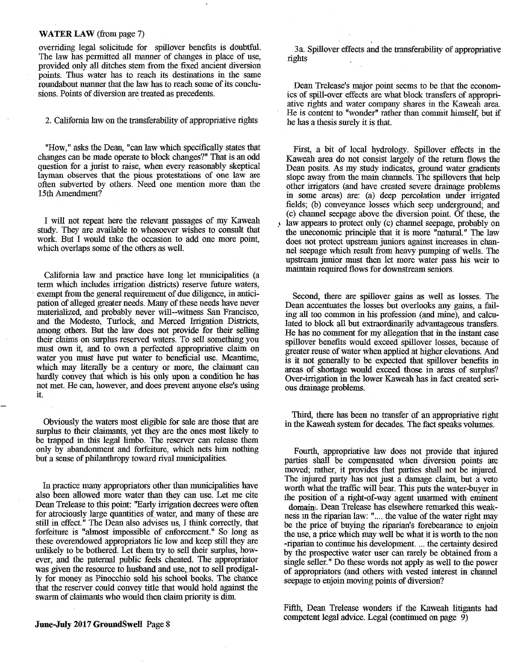## WATER LAW (from page 7)

overriding legal solicitude for spillover benefits *is* doubtful. The law has permitted all manner of changes in place of use, provided only all ditches stem from the fixed ancient diversion points. Thus water has to reach its destinations in the same roundabout manner that the law has to reach some of its conclusions. Points of diversion are treated as precedents.

2. California law on the transferability of appropnative rights

"How," asks the Dean, "can law which specifically states that changes can be made operate to block changes?" That is an odd question for a jurist to raise, when every reasonably skeptical layman observes that the pious protestations of one law are often subverted by others. Need one mention more than the 15th Amendment?

I will not repeat here the relevant passages of my Kaweah study. They are available to whosoever wishes to consult that work. But I would take the occasion to add one more point, which overlaps some of the others as well.

California law and practice have long let municipalities (a term which includes irrigation districts) reserve future waters, exempt from the general requirement of due diligence, in anticipation of alleged greater needs. Many of these needs have never materialized, and probably never will--witness San Francisco, and the Modesto, Turlock, and Merced Irrigation Districts, among others. But the law does not provide for their selling their claims on surplus reserved waters. To sell something you must own it and to own a perfected appropriative claim on water you must have put water to beneficial use. Meantime, which may literally be a century or more, the claimant can hardly convey that which is his only upon a condition he has not met. He can, however, and does prevent anyone else's using it.

Obviously the waters most eligible for sale are those that are surplus to their claimants, yet they are the ones most likely to be trapped in this legal limbo. The reserver can release them only by abandonment and forfeiture, which nets him nothing but a sense of philanthropy toward rival municipalities.

In practice many appropriators other than municipalities have also been allowed more water than they can use. Let me cite Dean Trelease to this point: "Early irrigation decrees were often for atrociously large quantities of water, and many of these are still in effect." The Dean also advises us, I think correctly, that forfeiture is "almost impossible of enforcement." So long as these overendowed appropriators lie low and keep still they are unlikely to be bothered. Let them try to sell their surplus, however, and the paternal public feels cheated. The appropriator was given the resource to husband and use,, not to sell *prodigal*ly for money as Pinocchio sold his school books. The chance that the reserver could convey title that would hold against the swarm of claimants who would then claim priority is dim

3a. Spillover effects and the transferability of appropriative rights

Dean Trelease's major point seems to be that the economics of spill-over effects are what block transfers of appropriative rights and water company shares in the Kaweah area He is content to "wonder" rather than commit himself, but if he has a thesis surely it is that.

First, a bit of local hydrology. Spillover effects in the Kaweah area do not consist largely of the return flows the Dean posits. As my study indicates, ground water gradients slope away from the main channels. The spillovers that help other irrigators (and have created severe drainage problems in some areas) are: (a) deep percolation under irrigated fields; (b) conveyance losses which seep underground; and (c) channel seepage above the diversion point Of these, the law appears to protect only (c) channel seepage, probably on the uneconomic principle that it is more "natural." The law does not protect upstream juniors against increases in channel seepage which result from heavy pumping of wells. The upstream junior must then let more water pass his weir to maintain required flows for downstream seniors.

Second, there are spillover gains as well as losses. The Dean accentuates the losses but overlooks any gains, a failing all too common in his profession (and mine), and calculated to block all but extraordinarily advantageous transfers. He has no comment for my allegation that in the instant case spillover benefits would exceed spillover losses, because of greater reuse of water when applied at higher elevations. And is it not generally to be expected that spillover benefits in areas of shortage would exceed those in areas of surplus? Over-irrigation in the lower Kaweah has in fact created serious drainage problems.

Third, there has been no transfer of an appropriative right in the Kaweah system for decades. The fact speaks volumes.

Fourth, appropriative law does not provide that injured parties shall be compensated when diversion points are moved; rather, it provides that parties shall not be injured. The injured party has not just a damage claim, but a veto worth what the traffic will bear. This puts the water-buyer in the position of a right-of-way agent unarmed with eminent domain. Dean Trelease has elsewhere remarked this weakness in the riparian law: ".... the value of the water right may be the price of buying the riparian's forebearance to enjoin the use, a price which may well be what it is worth to the non -riparian to continue his development. ... the certainty desired by the prospective water user can rarely be obtained from a single seller." Do these words not apply as well to the power of appropriators (and others with vested interest in channel seepage to enjoin moving points of diversion?

Fifth, Dean Trelease wonders if the Kaweah litigants had competent legal advice. Legal (continued on page 9)

#### **June-July 2017 GroundSwell** Page 8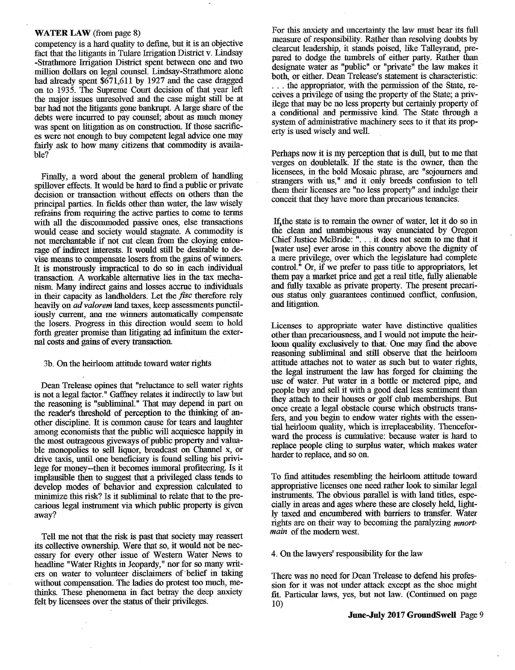## **WATER LAW** (from page 8)

competency is a hard quality to define, but it is an objective fact that the litigants in Tulare Irrigation District v. Lindsay -Strathmore Irrigation District spent between one and two million dollars on legal counsel. Lindsay-Strathmore alone had already spent \$671,611 by 1927 and the case dragged on to *1935.* The Supreme Court decision of that year left the major issues unresolved and the case might still be at bar had not the litigants gone bankrupt A large share of the debts were incurred to pay counsel; about as much money was spent on litigation as on construction. If those sacrifices were not enough to buy competent legal advice one may fairly ask to how many citizens that commodity is available?

Finally, a word about the general problem of handling spillover effects. It would be hard to find a public or private decision or transaction without effects on others than the principal parties. In fields other than water, the law wisely refrains from requiring the active parties to come to terms with all the discommoded passive ones, else transactions would cease and society would stagnate. A commodity is not merchantable if not cut clean from the cloying entourage of indirect interests. It would still be desirable to devise means to compensate losers from the gains of winners. It is monstrously impractical to do so in each individual transaction. A workable alternative lies in the tax mechanism. Many indirect gains and losses accrue to individuals in their capacity as landholders. Let the *fisc* therefore rely heavily on *ad valorem* land taxes, keep assessments punctiliously current, and the winners automatically compensate the losers. Progress in this direction would seem to hold forth greater promise than litigating ad infinitum the external costs and gains of every transaction.

## 3b. On the heirloom attitude toward water rights

Dean Trelease opines that "reluctance to sell water rights is not a legal factor." Gaffney relates it indirectly to law but the reasoning is "subliminal." That may depend in part on the reader's threshold of perception to the thinking of another discipline. It is common cause for tears and laughter among economists that the public will acquiesce happily in the most outrageous giveways of public property and valuable monopolies to sell liquor, broadcast on Channel x, or drive taxis, until one beneficiary is found selling his privilege for money--then it becomes immoral profiteering. Is it implausible then to suggest that a privileged class tends to develop modes of behavior and expression calculated to minimize this risk? Is it subliminal to relate that to the precarious legal instrument via which public properly is given away?

Tell me not that the risk is past that society may reassert its collective ownership. Were that so, it would not be necessary for every other issue of Western Water News to headline "Water Rights in Jeopardy," nor for so many writers on water to volunteer disclaimers of belief in taking without compensation. The ladies do protest too much, methinks. These phenomena in fact betray the deep anxiety felt by licensees over the status of their privileges.

For this anxiety and uncertainty the law must bear its full measure of responsibility. Rather than resolving doubts by clearcut leadership, it stands poised, like Talleyrand, prepared to dodge the tumbrels of either party. Rather than designate water as "public" or "private" the law makes it both, or either. Dean Trelease's statement is characteristic: ... the appropriator, with the permission of the State, receives a privilege of using the property of the State; a privilege that may be no less property but certainly property of a conditional and permissive kind. The State through a system of administrative machinery sees to it that its property is used wisely and well.

Perhaps now it is my perception that is dull, but to me that verges on doubletalk. If the state is the owner, then the licensees, in the bold Mosaic phrase, are "sojourners and strangers with us," and it only breeds confusion to tell them their licenses are "no less property" and indulge their conceit that they have more than precarious tenancies.

lfthe state is to remain the owner of water, let it do so in the clean and unambiguous way enunciated by Oregon Chief Justice McBride: ".. . it does not seem to me that it [water use] ever arose in this country above the dignity of a mere privilege, over which the legislature had complete control." Or, if we prefer to pass title to appropriators, let them pay a market price and get a real title, fully alienable and fully taxable as private property. The present precarious status only guarantees continued conflict, confusion, and litigation.

Licenses to appropriate water have distinctive qualities other than precariousness, and I would not impute the heirloom quality exclusively to that One may find the above reasoning subliminal and still observe that the heirloom attitude attaches not to water as such but to water rights, the legal instrument the law has forged for claiming the use of water. Put water in a bottle or metered pipe, and people buy and sell it with a good deal less sentiment than they attach to their houses or golf club memberships. But once create a legal obstacle course which obstructs transfers, and you begin to endow water rights with the essential heirloom quality, which is irreplaceability. Thenceforward the process is cumulative: because water is hard to replace people cling to surplus water, which makes water harder to replace, and so on.

To find attitudes resembling the heirloom attitude toward appropriative licenses one need rather look to similar legal instruments. The obvious parallel is with land titles, especially in areas and ages where these are closely held, lightly taxed and encumbered with barriers to transfer. Water rights are on their way to becoming the paralyzing *mnort,* main of the modern west.

4. On the lawyers' responsibility for the law

There was no need for Dean Trelease to defend his profession for it was not under attack except as the shoe might fit. Particular laws, yes, but not law. (Continued on page 10)

**June-July 2017 GroundSwell** Page 9